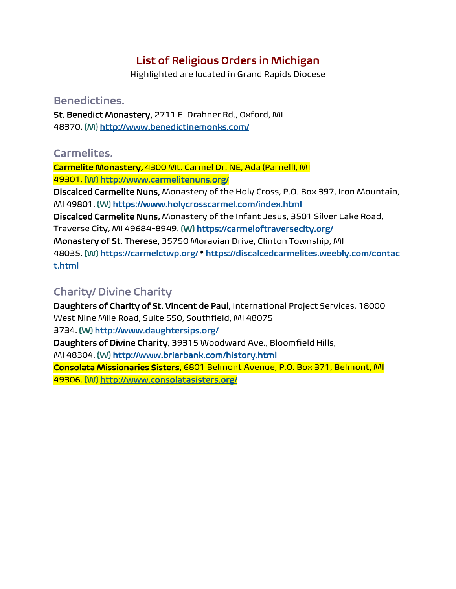# List of Religious Orders in Michigan

Highlighted are located in Grand Rapids Diocese

### Benedictines.

St. Benedict Monastery, 2711 E. Drahner Rd., Oxford, MI 48370. [M] <http://www.benedictinemonks.com/>

## Carmelites.

Carmelite Monastery, 4300 Mt. Carmel Dr. NE, Ada (Parnell), MI 49301. [W] <http://www.carmelitenuns.org/>

Discalced Carmelite Nuns, Monastery of the Holy Cross, P.O. Box 397, Iron Mountain, MI 49801. [W] <https://www.holycrosscarmel.com/index.html>

Discalced Carmelite Nuns, Monastery of the Infant Jesus, 3501 Silver Lake Road,

Traverse City, MI 49684-8949. [W] <https://carmeloftraversecity.org/>

Monastery of St. Therese, 35750 Moravian Drive, Clinton Township, MI

48035. [W] <https://carmelctwp.org/> \* [https://discalcedcarmelites.weebly.com/contac](https://discalcedcarmelites.weebly.com/contact.html) [t.html](https://discalcedcarmelites.weebly.com/contact.html)

## Charity/ Divine Charity

Daughters of Charity of St. Vincent de Paul, International Project Services, 18000 West Nine Mile Road, Suite 550, Southfield, MI 48075-

#### 3734. [W] <http://www.daughtersips.org/>

Daughters of Divine Charity, 39315 Woodward Ave., Bloomfield Hills,

MI 48304. [W] <http://www.briarbank.com/history.html>

Consolata Missionaries Sisters, 6801 Belmont Avenue, P.O. Box 371, Belmont, MI 49306. [W] <http://www.consolatasisters.org/>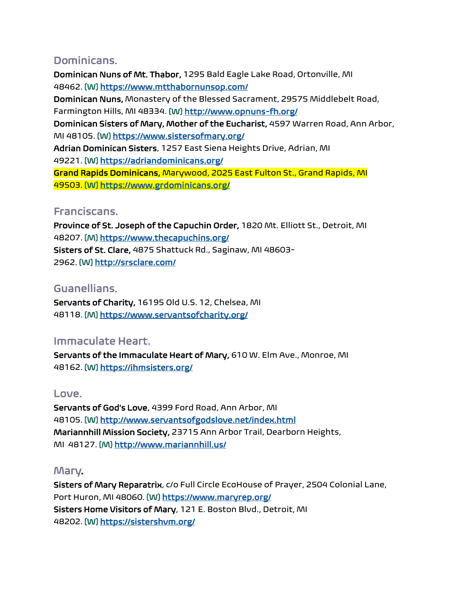## Dominicans.

Dominican Nuns of Mt. Thabor, 1295 Bald Eagle Lake Road, Ortonville, MI 48462. [W] <https://www.mtthabornunsop.com/> Dominican Nuns, Monastery of the Blessed Sacrament, 29575 Middlebelt Road, Farmington Hills, MI 48334. [W] <http://www.opnuns-fh.org/> Dominican Sisters of Mary, Mother of the Eucharist, 4597 Warren Road, Ann Arbor, MI 48105. [W] <https://www.sistersofmary.org/> Adrian Dominican Sisters, 1257 East Siena Heights Drive, Adrian, MI 49221. [W] <https://adriandominicans.org/> Grand Rapids Dominicans, Marywood, 2025 East Fulton St., Grand Rapids, MI 49503. [W] <https://www.grdominicans.org/>

#### Franciscans.

Province of St. Joseph of the Capuchin Order, 1820 Mt. Elliott St., Detroit, MI 48207. [M] <https://www.thecapuchins.org/> Sisters of St. Clare, 4875 Shattuck Rd., Saginaw, MI 48603- 2962. [W] <http://srsclare.com/>

#### Guanellians.

Servants of Charity, 16195 Old U.S. 12, Chelsea, MI 48118. [M] <https://www.servantsofcharity.org/>

## Immaculate Heart.

Servants of the Immaculate Heart of Mary, 610 W. Elm Ave., Monroe, MI 48162. [W] <https://ihmsisters.org/>

#### Love.

Servants of God's Love, 4399 Ford Road, Ann Arbor, MI 48105. [W] <http://www.servantsofgodslove.net/index.html> Mariannhill Mission Society, 23715 Ann Arbor Trail, Dearborn Heights, MI 48127. [M] <http://www.mariannhill.us/>

#### Mary.

Sisters of Mary Reparatrix, c/o Full Circle EcoHouse of Prayer, 2504 Colonial Lane, Port Huron, MI 48060. [W] <https://www.maryrep.org/> Sisters Home Visitors of Mary, 121 E. Boston Blvd., Detroit, MI 48202. [W] <https://sistershvm.org/>